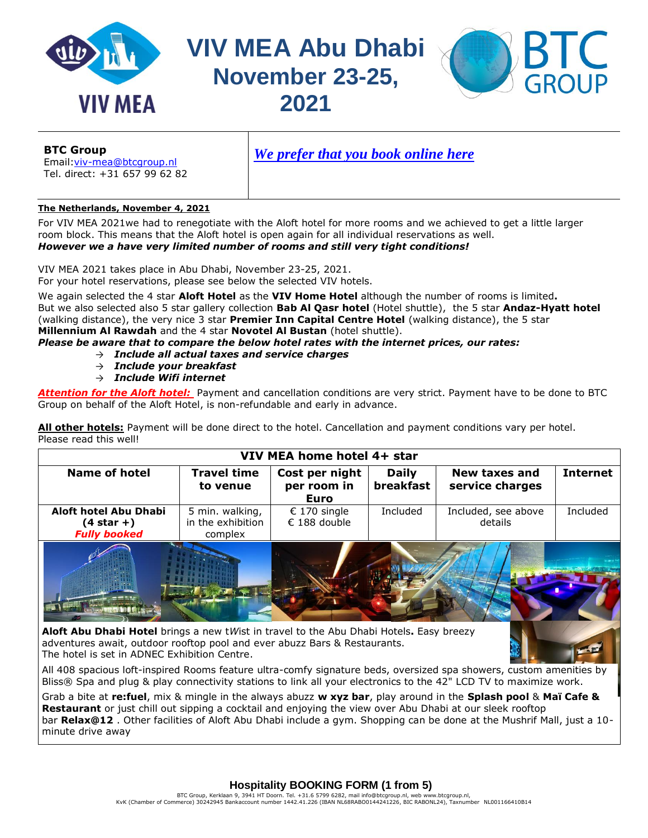

**VIV MEA Abu Dhabi November 23-25, 2021**



**BTC Group** Email[:viv-mea@btcgroup.nl](mailto:viv-mea@btcgroup.nl)

Tel. direct: +31 657 99 62 82

*[We prefer that you book online here](https://viv-mea-nov-2021.vivhotels.com/)* 

# **The Netherlands, November 4, 2021**

For VIV MEA 2021we had to renegotiate with the Aloft hotel for more rooms and we achieved to get a little larger room block. This means that the Aloft hotel is open again for all individual reservations as well. *However we a have very limited number of rooms and still very tight conditions!*

VIV MEA 2021 takes place in Abu Dhabi, November 23-25, 2021. For your hotel reservations, please see below the selected VIV hotels.

We again selected the 4 star **Aloft Hotel** as the **VIV Home Hotel** although the number of rooms is limited**.** But we also selected also 5 star gallery collection **Bab Al Qasr hotel** (Hotel shuttle), the 5 star **Andaz-Hyatt hotel** (walking distance), the very nice 3 star **Premier Inn Capital Centre Hotel** (walking distance), the 5 star **Millennium Al Rawdah** and the 4 star **Novotel Al Bustan** (hotel shuttle).

*Please be aware that to compare the below hotel rates with the internet prices, our rates:*

- → *Include all actual taxes and service charges*
- → *Include your breakfast*
- → *Include Wifi internet*

*Attention for the Aloft hotel:* Payment and cancellation conditions are very strict. Payment have to be done to BTC Group on behalf of the Aloft Hotel, is non-refundable and early in advance.

**All other hotels:** Payment will be done direct to the hotel. Cancellation and payment conditions vary per hotel. Please read this well!

| VIV MEA home hotel 4+ star                                                              |                   |                            |              |                     |                 |  |  |
|-----------------------------------------------------------------------------------------|-------------------|----------------------------|--------------|---------------------|-----------------|--|--|
| <b>Name of hotel</b><br><b>Travel time</b>                                              |                   | Cost per night             | <b>Daily</b> | New taxes and       | <b>Internet</b> |  |  |
|                                                                                         | to venue          | per room in<br><b>Euro</b> | breakfast    | service charges     |                 |  |  |
| Aloft hotel Abu Dhabi                                                                   | 5 min. walking,   | € 170 single               | Included     | Included, see above | Included        |  |  |
| (4 star +)                                                                              | in the exhibition | € 188 double               |              | details             |                 |  |  |
| <b>Fully booked</b>                                                                     | complex           |                            |              |                     |                 |  |  |
|                                                                                         |                   |                            |              |                     |                 |  |  |
| Alaft Abu Dhahi Hatal brings a now thigh in travel to the Abu Dhahi Hetels. Facy broams |                   |                            |              |                     |                 |  |  |

**Aloft Abu Dhabi Hotel** brings a new t*W*ist in travel to the Abu Dhabi Hotels**.** Easy breezy adventures await, outdoor rooftop pool and ever abuzz Bars & Restaurants. The hotel is set in ADNEC Exhibition Centre.

All 408 spacious loft-inspired Rooms feature ultra-comfy signature beds, oversized spa showers, custom amenities by Bliss® Spa and plug & play connectivity stations to link all your electronics to the 42" LCD TV to maximize work.

Grab a bite at **re:fuel**, mix & mingle in the always abuzz **w xyz bar**, play around in the **Splash pool** & **Maï Cafe & Restaurant** or just chill out sipping a cocktail and enjoying the view over Abu Dhabi at our sleek rooftop bar **Relax@12** . Other facilities of Aloft Abu Dhabi include a gym. Shopping can be done at the Mushrif Mall, just a 10 minute drive away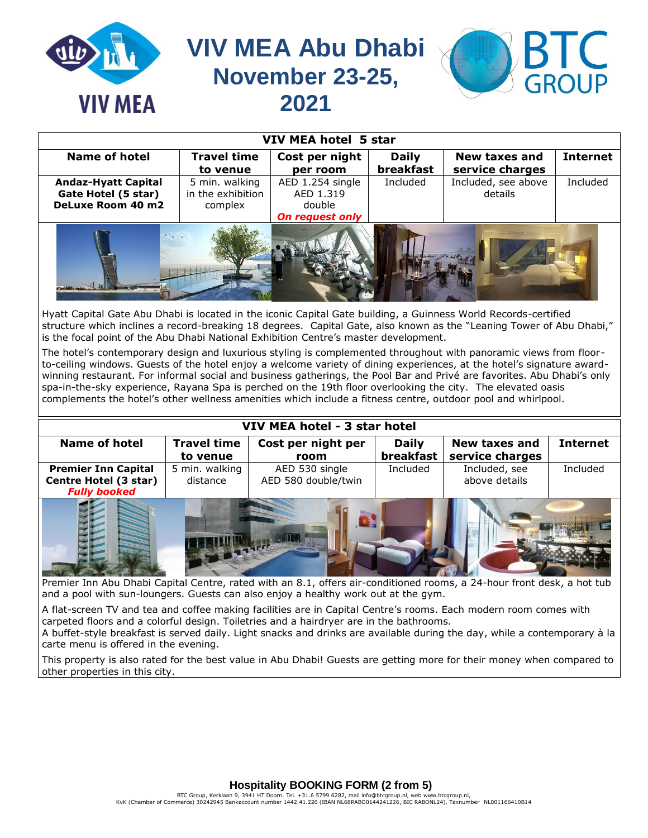| <b>VIV MEA</b>              | BTC<br><b>VIV MEA Abu Dhabi</b><br>November 23-25,<br>2021 |                        |                  |                     |                 |  |  |
|-----------------------------|------------------------------------------------------------|------------------------|------------------|---------------------|-----------------|--|--|
| <b>VIV MEA hotel 5 star</b> |                                                            |                        |                  |                     |                 |  |  |
| <b>Name of hotel</b>        | <b>Travel time</b>                                         | Cost per night         | <b>Daily</b>     | New taxes and       | <b>Internet</b> |  |  |
|                             | to venue                                                   | per room               | <b>breakfast</b> | service charges     |                 |  |  |
| <b>Andaz-Hyatt Capital</b>  | 5 min. walking                                             | AED 1.254 single       | Included         | Included, see above | Included        |  |  |
| Gate Hotel (5 star)         | in the exhibition                                          | AED 1.319              |                  | details             |                 |  |  |
| DeLuxe Room 40 m2           | complex                                                    | double                 |                  |                     |                 |  |  |
|                             |                                                            | <b>On request only</b> |                  |                     |                 |  |  |
|                             |                                                            |                        |                  |                     |                 |  |  |

Hyatt Capital Gate Abu Dhabi is located in the iconic Capital Gate building, a Guinness World Records-certified structure which inclines a record-breaking 18 degrees. Capital Gate, also known as the "Leaning Tower of Abu Dhabi," is the focal point of the Abu Dhabi National Exhibition Centre's master development.

The hotel's contemporary design and luxurious styling is complemented throughout with panoramic views from floorto-ceiling windows. Guests of the hotel enjoy a welcome variety of dining experiences, at the hotel's signature awardwinning restaurant. For informal social and business gatherings, the [Pool Bar](http://abudhabi.capitalgate.hyatt.com/en/hotel/dining/PoolBar.html) and [Privé](http://abudhabi.capitalgate.hyatt.com/en/hotel/dining/Prive.html) are favorites. Abu Dhabi's only spa-in-the-sky experience, [Rayana Spa](http://abudhabi.capitalgate.hyatt.com/en/hotel/activities/hotel-activities/spa.html) is perched on the 19th floor overlooking the city. The elevated oasis complements the hotel's other wellness amenities which include a [fitness centre,](http://abudhabi.capitalgate.hyatt.com/hyatt/pure/spas/about/fitness.jsp?language=en) outdoor [pool](http://abudhabi.capitalgate.hyatt.com/en/hotel/activities/hotel-activities/pool.html) and whirlpool.

| VIV MEA hotel - 3 star hotel |                                |                            |                           |                                         |                 |  |  |
|------------------------------|--------------------------------|----------------------------|---------------------------|-----------------------------------------|-----------------|--|--|
| <b>Name of hotel</b>         | <b>Travel time</b><br>to venue | Cost per night per<br>room | <b>Daily</b><br>breakfast | <b>New taxes and</b><br>service charges | <b>Internet</b> |  |  |
| <b>Premier Inn Capital</b>   | 5 min. walking                 | AED 530 single             | Included                  | Included, see                           | Included        |  |  |
| Centre Hotel (3 star)        | distance                       | AED 580 double/twin        |                           | above details                           |                 |  |  |
| <b>Fully booked</b>          |                                |                            |                           |                                         |                 |  |  |
|                              |                                |                            |                           |                                         |                 |  |  |

Premier Inn Abu Dhabi Capital Centre, rated with an 8.1, offers air-conditioned rooms, a 24-hour front desk, a hot tub and a pool with sun-loungers. Guests can also enjoy a healthy work out at the gym.

A flat-screen TV and tea and coffee making facilities are in Capital Centre's rooms. Each modern room comes with carpeted floors and a colorful design. Toiletries and a hairdryer are in the bathrooms.

A buffet-style breakfast is served daily. Light snacks and drinks are available during the day, while a contemporary à la carte menu is offered in the evening.

This property is also rated for the best value in Abu Dhabi! Guests are getting more for their money when compared to other properties in this city.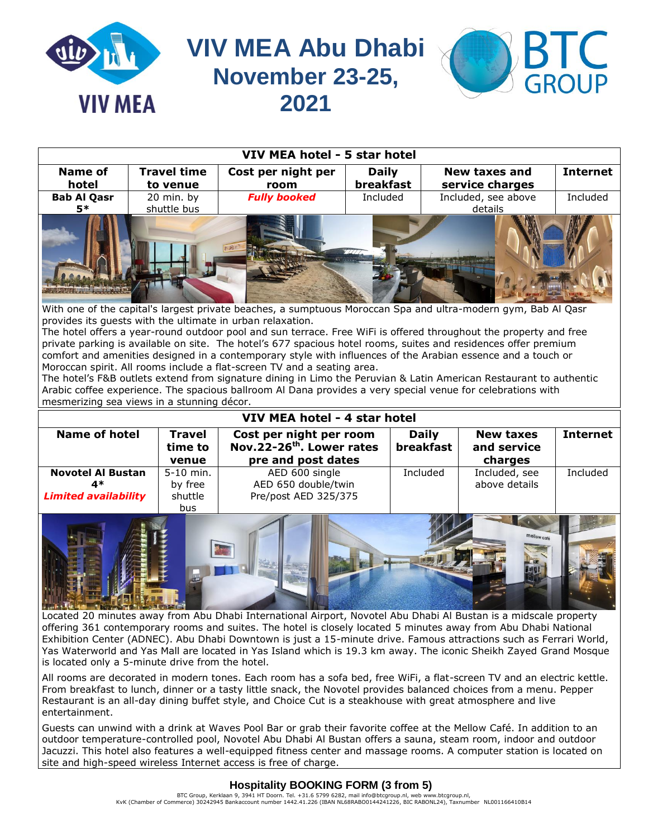

| VIV MEA hotel - 5 star hotel |                    |                     |              |                      |                 |  |  |
|------------------------------|--------------------|---------------------|--------------|----------------------|-----------------|--|--|
| <b>Name of</b>               | <b>Travel time</b> | Cost per night per  | <b>Daily</b> | <b>New taxes and</b> | <b>Internet</b> |  |  |
| hotel                        | to venue           | room                | breakfast    | service charges      |                 |  |  |
| <b>Bab Al Qasr</b>           | 20 min. by         | <b>Fully booked</b> | Included     | Included, see above  | Included        |  |  |
| 5*                           | shuttle bus        |                     |              | details              |                 |  |  |
|                              |                    |                     |              |                      |                 |  |  |

With one of the capital's largest private beaches, a sumptuous Moroccan Spa and ultra-modern gym, Bab Al Qasr provides its guests with the ultimate in urban relaxation.

The hotel offers a year-round outdoor pool and sun terrace. Free WiFi is offered throughout the property and free private parking is available on site. The hotel's 677 spacious hotel rooms, suites and residences offer premium comfort and amenities designed in a contemporary style with influences of the Arabian essence and a touch or Moroccan spirit. All rooms include a flat-screen TV and a seating area.

The hotel's F&B outlets extend from signature dining in Limo the Peruvian & Latin American Restaurant to authentic Arabic coffee experience. The spacious ballroom Al Dana provides a very special venue for celebrations with mesmerizing sea views in a stunning décor.

| VIV MEA hotel - 4 star hotel |                                                                                              |                      |                           |                                 |                 |  |  |
|------------------------------|----------------------------------------------------------------------------------------------|----------------------|---------------------------|---------------------------------|-----------------|--|--|
| <b>Name of hotel</b>         | <b>Travel</b><br>Cost per night per room<br>Nov.22-26 <sup>th</sup> . Lower rates<br>time to |                      | <b>Daily</b><br>breakfast | <b>New taxes</b><br>and service | <b>Internet</b> |  |  |
|                              | venue                                                                                        | pre and post dates   |                           | charges                         |                 |  |  |
| <b>Novotel Al Bustan</b>     | 5-10 min.                                                                                    | AED 600 single       | Included                  | Included, see                   | Included        |  |  |
| 4*                           | by free                                                                                      | AED 650 double/twin  |                           | above details                   |                 |  |  |
| <b>Limited availability</b>  | shuttle                                                                                      | Pre/post AED 325/375 |                           |                                 |                 |  |  |
|                              | bus                                                                                          |                      |                           |                                 |                 |  |  |



Located 20 minutes away from Abu Dhabi International Airport, Novotel Abu Dhabi Al Bustan is a midscale property offering 361 contemporary rooms and suites. The hotel is closely located 5 minutes away from Abu Dhabi National Exhibition Center (ADNEC). Abu Dhabi Downtown is just a 15-minute drive. Famous attractions such as Ferrari World, Yas Waterworld and Yas Mall are located in Yas Island which is 19.3 km away. The iconic Sheikh Zayed Grand Mosque is located only a 5-minute drive from the hotel.

All rooms are decorated in modern tones. Each room has a sofa bed, free WiFi, a flat-screen TV and an electric kettle. From breakfast to lunch, dinner or a tasty little snack, the Novotel provides balanced choices from a menu. Pepper Restaurant is an all-day dining buffet style, and Choice Cut is a steakhouse with great atmosphere and live entertainment.

Guests can unwind with a drink at Waves Pool Bar or grab their favorite coffee at the Mellow Café. In addition to an outdoor temperature-controlled pool, Novotel Abu Dhabi Al Bustan offers a sauna, steam room, indoor and outdoor Jacuzzi. This hotel also features a well-equipped fitness center and massage rooms. A computer station is located on site and high-speed wireless Internet access is free of charge.

# **Hospitality BOOKING FORM (3 from 5)**

BTC Group, Kerklaan 9, 3941 HT Doorn. Tel. +31.6 5799 6282, mail info@btcgroup.nl, web www.btcgroup.nl,<br>KvK (Chamber of Commerce) 30242945 Bankaccount number 1442.41.226 (IBAN NL68RABO0144241226, BIC RABONL24), Taxnumber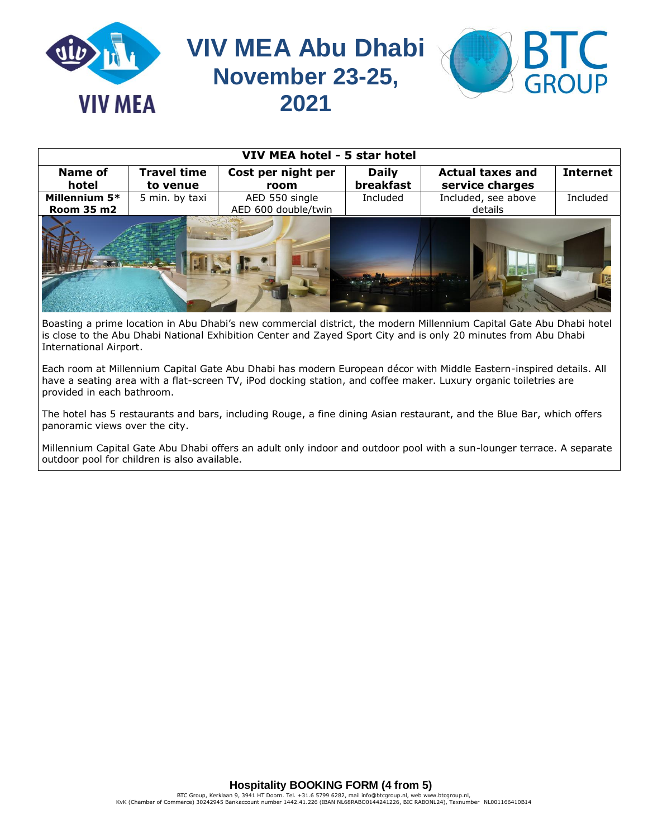

| VIV MEA hotel - 5 star hotel |                    |                     |              |                         |                 |  |  |
|------------------------------|--------------------|---------------------|--------------|-------------------------|-----------------|--|--|
| <b>Name of</b>               | <b>Travel time</b> | Cost per night per  | <b>Daily</b> | <b>Actual taxes and</b> | <b>Internet</b> |  |  |
| hotel                        | to venue           | room                | breakfast    | service charges         |                 |  |  |
| Millennium 5*                | 5 min. by taxi     | AED 550 single      | Included     | Included, see above     | Included        |  |  |
| Room 35 m2                   |                    | AED 600 double/twin |              | details                 |                 |  |  |
|                              |                    |                     |              |                         |                 |  |  |

Boasting a prime location in Abu Dhabi's new commercial district, the modern Millennium Capital Gate Abu Dhabi hotel is close to the Abu Dhabi National Exhibition Center and Zayed Sport City and is only 20 minutes from Abu Dhabi International Airport.

Each room at Millennium Capital Gate Abu Dhabi has modern European décor with Middle Eastern-inspired details. All have a seating area with a flat-screen TV, iPod docking station, and coffee maker. Luxury organic toiletries are provided in each bathroom.

The hotel has 5 restaurants and bars, including Rouge, a fine dining Asian restaurant, and the Blue Bar, which offers panoramic views over the city.

Millennium Capital Gate Abu Dhabi offers an adult only indoor and outdoor pool with a sun-lounger terrace. A separate outdoor pool for children is also available.